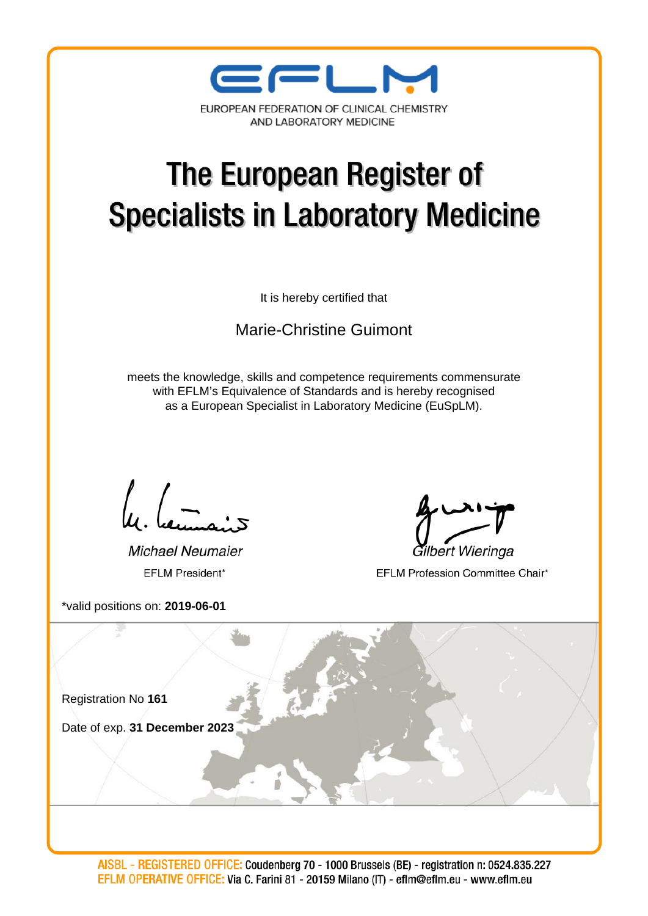

# The European Register of **Specialists in Laboratory Medicine**

It is hereby certified that

Marie-Christine Guimont

meets the knowledge, skills and competence requirements commensurate with EFLM's Equivalence of Standards and is hereby recognised as a European Specialist in Laboratory Medicine (EuSpLM).

Michael Neumaier EFLM President\*

\*valid positions on: **2019-06-01**

Gilbert Wieringa

EFLM Profession Committee Chair\*

Registration No **161** Date of exp. **31 December 2023**

AISBL - REGISTERED OFFICE: Coudenberg 70 - 1000 Brussels (BE) - registration n: 0524.835.227 EFLM OPERATIVE OFFICE: Via C. Farini 81 - 20159 Milano (IT) - eflm@eflm.eu - www.eflm.eu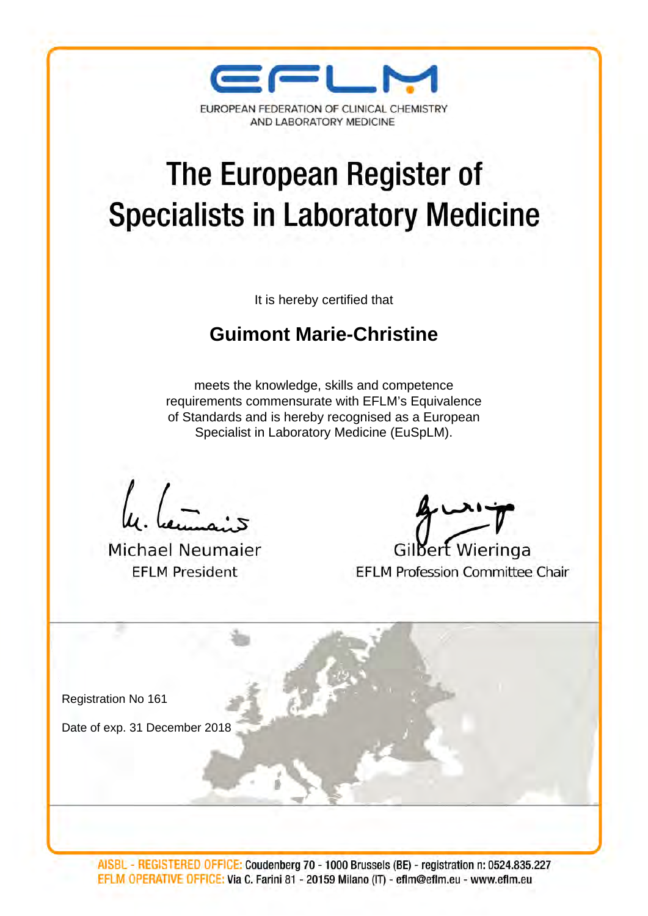

AND LABORATORY MEDICINE

## The European Register of **Specialists in Laboratory Medicine**

It is hereby certified that

#### **[Guimont Marie-Christine](http://bio-economie.com/cv.htm)**

meets the knowledge, skills and competence requirements commensurate with EFLM's Equivalence of Standards and is hereby recognised as a European Specialist in Laboratory Medicine (EuSpLM).

**Michael Neumaier EFLM President** 

Gilbert Wieringa **EFLM Profession Committee Chair** 

Registration No 161

Date of exp. 31 December 2018

AISBL - REGISTERED OFFICE: Coudenberg 70 - 1000 Brussels (BE) - registration n: 0524.835.227 EFLM OPERATIVE DFFICE: Via C. Farini 81 - 20159 Milano (IT) - eflm@eflm.eu - www.eflm.eu